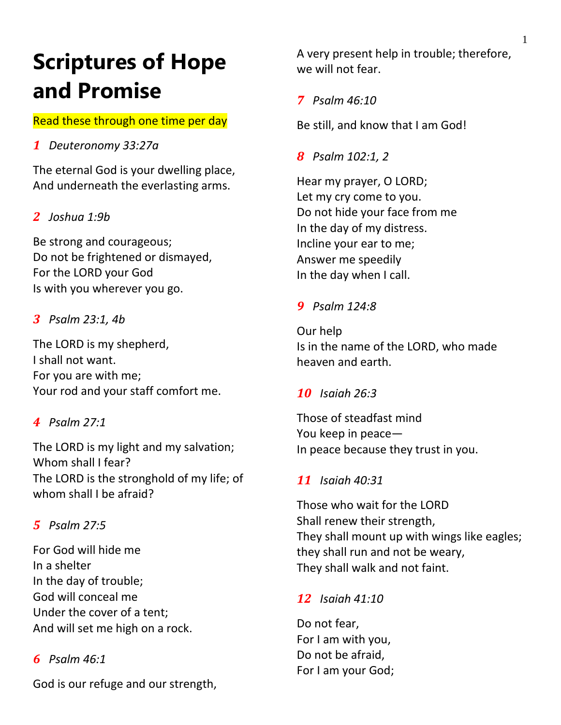# **Scriptures of Hope and Promise**

# Read these through one time per day

# *1 Deuteronomy 33:27a*

The eternal God is your dwelling place, And underneath the everlasting arms.

# *2 Joshua 1:9b*

Be strong and courageous; Do not be frightened or dismayed, For the LORD your God Is with you wherever you go.

## *3 Psalm 23:1, 4b*

The LORD is my shepherd, I shall not want. For you are with me; Your rod and your staff comfort me.

# *4 Psalm 27:1*

The LORD is my light and my salvation; Whom shall I fear? The LORD is the stronghold of my life; of whom shall I be afraid?

# *5 Psalm 27:5*

For God will hide me In a shelter In the day of trouble; God will conceal me Under the cover of a tent; And will set me high on a rock.

## *6 Psalm 46:1*

God is our refuge and our strength,

A very present help in trouble; therefore, we will not fear.

*7 Psalm 46:10*

Be still, and know that I am God!

*8 Psalm 102:1, 2*

Hear my prayer, O LORD; Let my cry come to you. Do not hide your face from me In the day of my distress. Incline your ear to me; Answer me speedily In the day when I call.

# *9 Psalm 124:8*

Our help Is in the name of the LORD, who made heaven and earth.

## *10 Isaiah 26:3*

Those of steadfast mind You keep in peace— In peace because they trust in you.

## *11 Isaiah 40:31*

Those who wait for the LORD Shall renew their strength, They shall mount up with wings like eagles; they shall run and not be weary, They shall walk and not faint.

### *12 Isaiah 41:10*

Do not fear, For I am with you, Do not be afraid, For I am your God;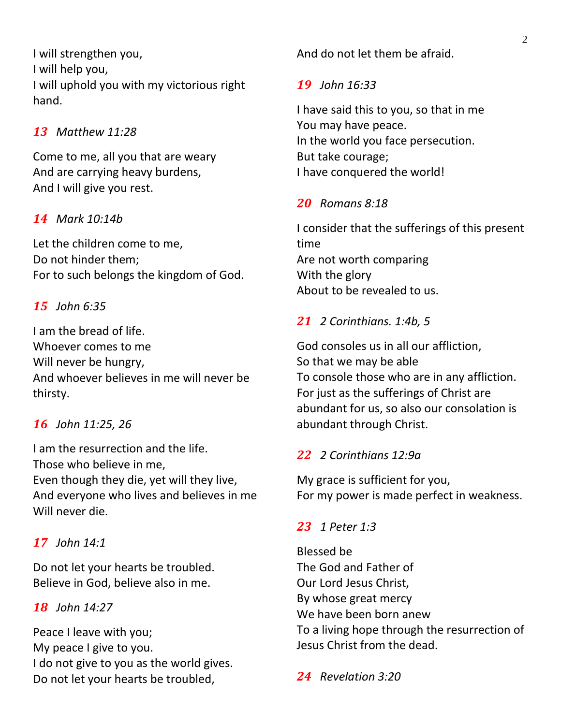I will strengthen you, I will help you, I will uphold you with my victorious right hand.

## *13 Matthew 11:28*

Come to me, all you that are weary And are carrying heavy burdens, And I will give you rest.

## *14 Mark 10:14b*

Let the children come to me, Do not hinder them; For to such belongs the kingdom of God.

## *15 John 6:35*

I am the bread of life. Whoever comes to me Will never be hungry, And whoever believes in me will never be thirsty.

### *16 John 11:25, 26*

I am the resurrection and the life. Those who believe in me, Even though they die, yet will they live, And everyone who lives and believes in me Will never die.

### *17 John 14:1*

Do not let your hearts be troubled. Believe in God, believe also in me.

#### *18 John 14:27*

Peace I leave with you; My peace I give to you. I do not give to you as the world gives. Do not let your hearts be troubled,

And do not let them be afraid.

#### *19 John 16:33*

I have said this to you, so that in me You may have peace. In the world you face persecution. But take courage; I have conquered the world!

### *20 Romans 8:18*

I consider that the sufferings of this present time Are not worth comparing With the glory About to be revealed to us.

### *21 2 Corinthians. 1:4b, 5*

God consoles us in all our affliction, So that we may be able To console those who are in any affliction. For just as the sufferings of Christ are abundant for us, so also our consolation is abundant through Christ.

#### *22 2 Corinthians 12:9a*

My grace is sufficient for you, For my power is made perfect in weakness.

#### *23 1 Peter 1:3*

Blessed be The God and Father of Our Lord Jesus Christ, By whose great mercy We have been born anew To a living hope through the resurrection of Jesus Christ from the dead.

*24 Revelation 3:20*